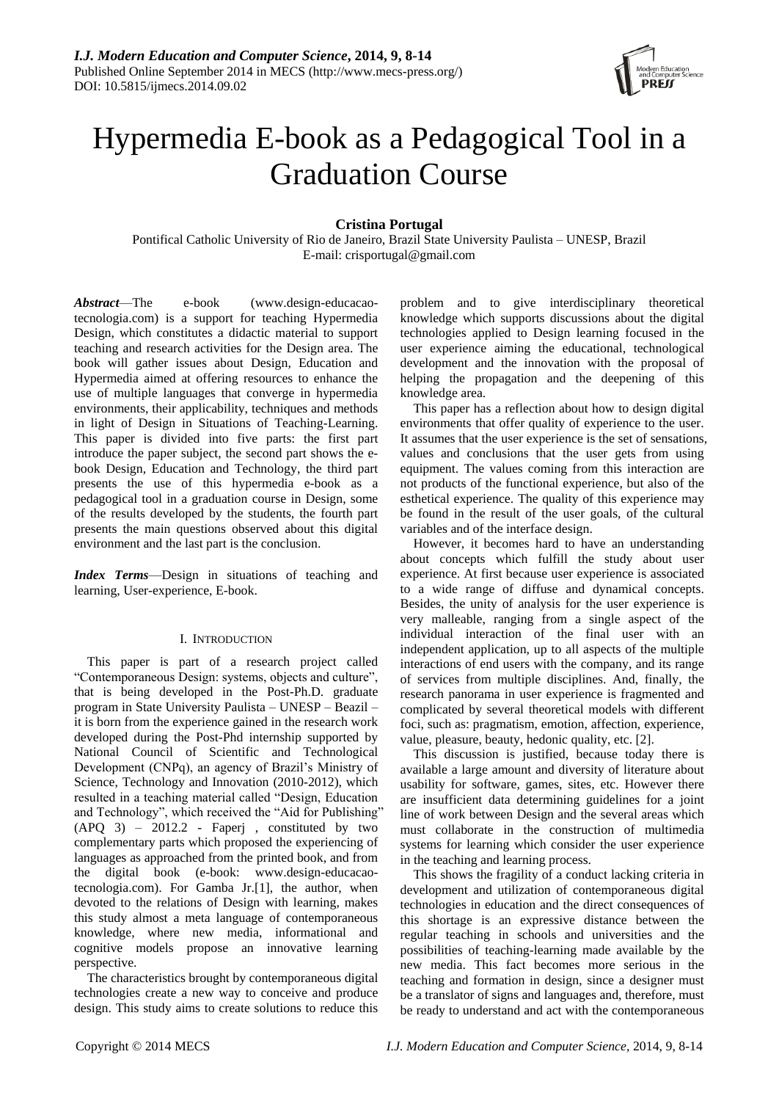

# Hypermedia E-book as a Pedagogical Tool in a Graduation Course

**Cristina Portugal**

Pontifical Catholic University of Rio de Janeiro, Brazil State University Paulista – UNESP, Brazil E-mail: crisportugal@gmail.com

*Abstract*—The e-book (www.design-educacaotecnologia.com) is a support for teaching Hypermedia Design, which constitutes a didactic material to support teaching and research activities for the Design area. The book will gather issues about Design, Education and Hypermedia aimed at offering resources to enhance the use of multiple languages that converge in hypermedia environments, their applicability, techniques and methods in light of Design in Situations of Teaching-Learning. This paper is divided into five parts: the first part introduce the paper subject, the second part shows the ebook Design, Education and Technology, the third part presents the use of this hypermedia e-book as a pedagogical tool in a graduation course in Design, some of the results developed by the students, the fourth part presents the main questions observed about this digital environment and the last part is the conclusion.

*Index Terms*—Design in situations of teaching and learning, User-experience, E-book.

#### I. INTRODUCTION

This paper is part of a research project called ―Contemporaneous Design: systems, objects and culture‖, that is being developed in the Post-Ph.D. graduate program in State University Paulista – UNESP – Beazil – it is born from the experience gained in the research work developed during the Post-Phd internship supported by National Council of Scientific and Technological Development (CNPq), an agency of Brazil's Ministry of Science, Technology and Innovation (2010-2012), which resulted in a teaching material called "Design, Education and Technology", which received the "Aid for Publishing" (APQ 3) – 2012.2 - Faperj , constituted by two complementary parts which proposed the experiencing of languages as approached from the printed book, and from the digital book (e-book: www.design-educacaotecnologia.com). For Gamba Jr.[1], the author, when devoted to the relations of Design with learning, makes this study almost a meta language of contemporaneous knowledge, where new media, informational and cognitive models propose an innovative learning perspective.

The characteristics brought by contemporaneous digital technologies create a new way to conceive and produce design. This study aims to create solutions to reduce this

problem and to give interdisciplinary theoretical knowledge which supports discussions about the digital technologies applied to Design learning focused in the user experience aiming the educational, technological development and the innovation with the proposal of helping the propagation and the deepening of this knowledge area.

This paper has a reflection about how to design digital environments that offer quality of experience to the user. It assumes that the user experience is the set of sensations, values and conclusions that the user gets from using equipment. The values coming from this interaction are not products of the functional experience, but also of the esthetical experience. The quality of this experience may be found in the result of the user goals, of the cultural variables and of the interface design.

However, it becomes hard to have an understanding about concepts which fulfill the study about user experience. At first because user experience is associated to a wide range of diffuse and dynamical concepts. Besides, the unity of analysis for the user experience is very malleable, ranging from a single aspect of the individual interaction of the final user with an independent application, up to all aspects of the multiple interactions of end users with the company, and its range of services from multiple disciplines. And, finally, the research panorama in user experience is fragmented and complicated by several theoretical models with different foci, such as: pragmatism, emotion, affection, experience, value, pleasure, beauty, hedonic quality, etc. [2].

This discussion is justified, because today there is available a large amount and diversity of literature about usability for software, games, sites, etc. However there are insufficient data determining guidelines for a joint line of work between Design and the several areas which must collaborate in the construction of multimedia systems for learning which consider the user experience in the teaching and learning process.

This shows the fragility of a conduct lacking criteria in development and utilization of contemporaneous digital technologies in education and the direct consequences of this shortage is an expressive distance between the regular teaching in schools and universities and the possibilities of teaching-learning made available by the new media. This fact becomes more serious in the teaching and formation in design, since a designer must be a translator of signs and languages and, therefore, must be ready to understand and act with the contemporaneous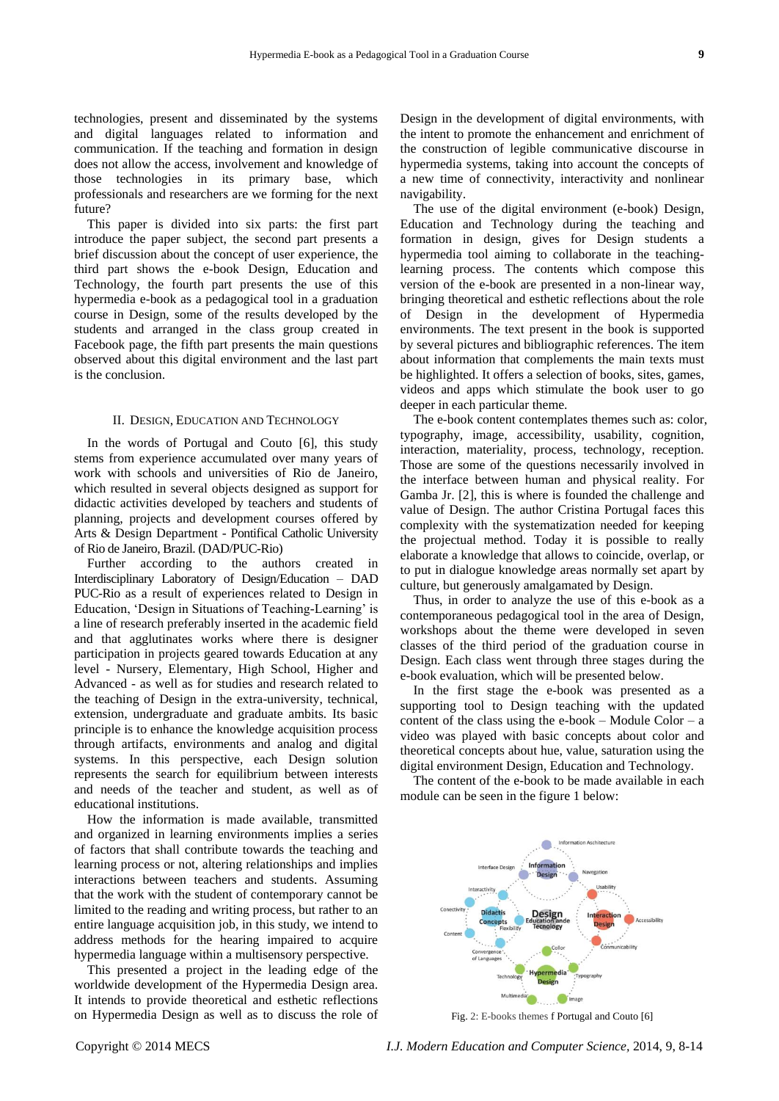technologies, present and disseminated by the systems and digital languages related to information and communication. If the teaching and formation in design does not allow the access, involvement and knowledge of those technologies in its primary base, which professionals and researchers are we forming for the next future?

This paper is divided into six parts: the first part introduce the paper subject, the second part presents a brief discussion about the concept of user experience, the third part shows the e-book Design, Education and Technology, the fourth part presents the use of this hypermedia e-book as a pedagogical tool in a graduation course in Design, some of the results developed by the students and arranged in the class group created in Facebook page, the fifth part presents the main questions observed about this digital environment and the last part is the conclusion.

#### II. DESIGN, EDUCATION AND TECHNOLOGY

In the words of Portugal and Couto [6], this study stems from experience accumulated over many years of work with schools and universities of Rio de Janeiro, which resulted in several objects designed as support for didactic activities developed by teachers and students of planning, projects and development courses offered by Arts & Design Department - Pontifical Catholic University of Rio de Janeiro, Brazil. (DAD/PUC-Rio)

Further according to the authors created in Interdisciplinary Laboratory of Design/Education – DAD PUC-Rio as a result of experiences related to Design in Education, 'Design in Situations of Teaching-Learning' is a line of research preferably inserted in the academic field and that agglutinates works where there is designer participation in projects geared towards Education at any level - Nursery, Elementary, High School, Higher and Advanced - as well as for studies and research related to the teaching of Design in the extra-university, technical, extension, undergraduate and graduate ambits. Its basic principle is to enhance the knowledge acquisition process through artifacts, environments and analog and digital systems. In this perspective, each Design solution represents the search for equilibrium between interests and needs of the teacher and student, as well as of educational institutions.

How the information is made available, transmitted and organized in learning environments implies a series of factors that shall contribute towards the teaching and learning process or not, altering relationships and implies interactions between teachers and students. Assuming that the work with the student of contemporary cannot be limited to the reading and writing process, but rather to an entire language acquisition job, in this study, we intend to address methods for the hearing impaired to acquire hypermedia language within a multisensory perspective.

This presented a project in the leading edge of the worldwide development of the Hypermedia Design area. It intends to provide theoretical and esthetic reflections on Hypermedia Design as well as to discuss the role of Design in the development of digital environments, with the intent to promote the enhancement and enrichment of the construction of legible communicative discourse in hypermedia systems, taking into account the concepts of a new time of connectivity, interactivity and nonlinear navigability.

The use of the digital environment (e-book) Design, Education and Technology during the teaching and formation in design, gives for Design students a hypermedia tool aiming to collaborate in the teachinglearning process. The contents which compose this version of the e-book are presented in a non-linear way, bringing theoretical and esthetic reflections about the role of Design in the development of Hypermedia environments. The text present in the book is supported by several pictures and bibliographic references. The item about information that complements the main texts must be highlighted. It offers a selection of books, sites, games, videos and apps which stimulate the book user to go deeper in each particular theme.

The e-book content contemplates themes such as: color, typography, image, accessibility, usability, cognition, interaction, materiality, process, technology, reception. Those are some of the questions necessarily involved in the interface between human and physical reality. For Gamba Jr. [2], this is where is founded the challenge and value of Design. The author Cristina Portugal faces this complexity with the systematization needed for keeping the projectual method. Today it is possible to really elaborate a knowledge that allows to coincide, overlap, or to put in dialogue knowledge areas normally set apart by culture, but generously amalgamated by Design.

Thus, in order to analyze the use of this e-book as a contemporaneous pedagogical tool in the area of Design, workshops about the theme were developed in seven classes of the third period of the graduation course in Design. Each class went through three stages during the e-book evaluation, which will be presented below.

In the first stage the e-book was presented as a supporting tool to Design teaching with the updated content of the class using the e-book – Module Color – a video was played with basic concepts about color and theoretical concepts about hue, value, saturation using the digital environment Design, Education and Technology.

The content of the e-book to be made available in each module can be seen in the figure 1 below:



Fig. 2: E-books themes f Portugal and Couto [6]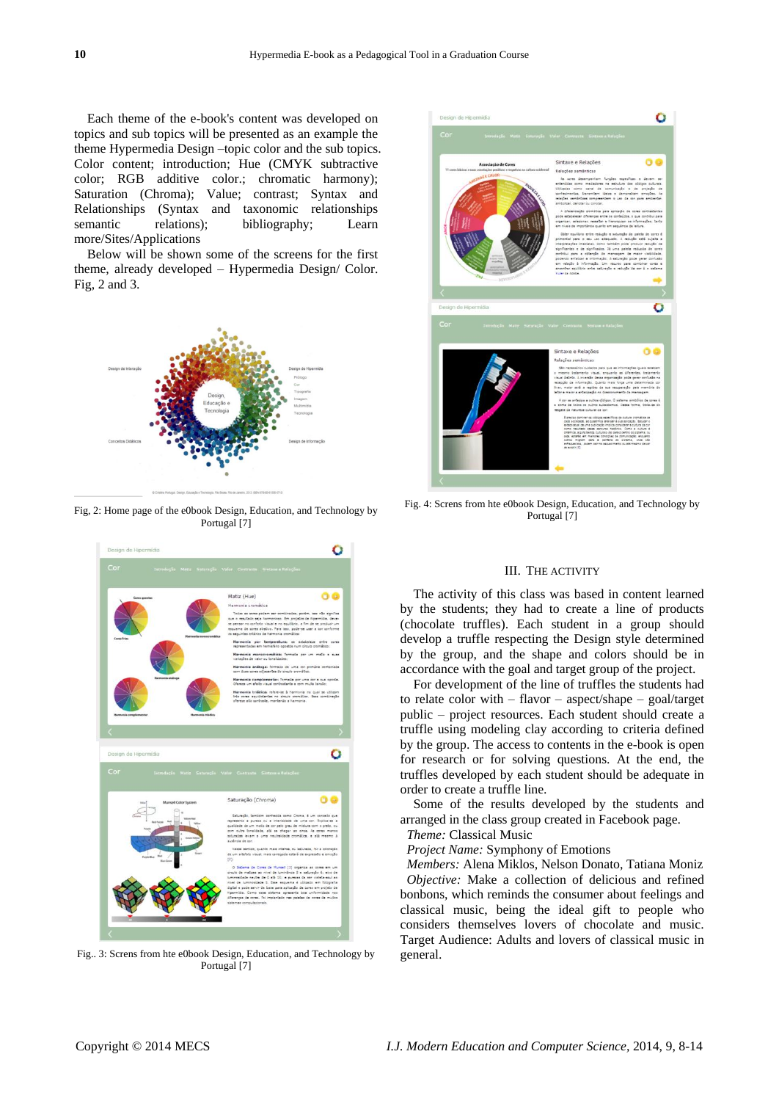Each theme of the e-book's content was developed on topics and sub topics will be presented as an example the theme Hypermedia Design –topic color and the sub topics. Color content; introduction; Hue (CMYK subtractive color; RGB additive color.; chromatic harmony); Saturation (Chroma); Value; contrast; Syntax and Relationships (Syntax and taxonomic relationships semantic relations); bibliography; Learn more/Sites/Applications

Below will be shown some of the screens for the first theme, already developed – Hypermedia Design/ Color. Fig, 2 and 3.



Fig, 2: Home page of the e0book Design, Education, and Technology by Portugal [7]



Fig.. 3: Screns from hte e0book Design, Education, and Technology by Portugal [7]



Fig. 4: Screns from hte e0book Design, Education, and Technology by Portugal [7]

## III. THE ACTIVITY

The activity of this class was based in content learned by the students; they had to create a line of products (chocolate truffles). Each student in a group should develop a truffle respecting the Design style determined by the group, and the shape and colors should be in accordance with the goal and target group of the project.

For development of the line of truffles the students had to relate color with – flavor – aspect/shape – goal/target public – project resources. Each student should create a truffle using modeling clay according to criteria defined by the group. The access to contents in the e-book is open for research or for solving questions. At the end, the truffles developed by each student should be adequate in order to create a truffle line.

Some of the results developed by the students and arranged in the class group created in Facebook page.

*Theme:* Classical Music

*Project Name:* Symphony of Emotions

*Members:* Alena Miklos, Nelson Donato, Tatiana Moniz *Objective:* Make a collection of delicious and refined bonbons, which reminds the consumer about feelings and classical music, being the ideal gift to people who considers themselves lovers of chocolate and music. Target Audience: Adults and lovers of classical music in general.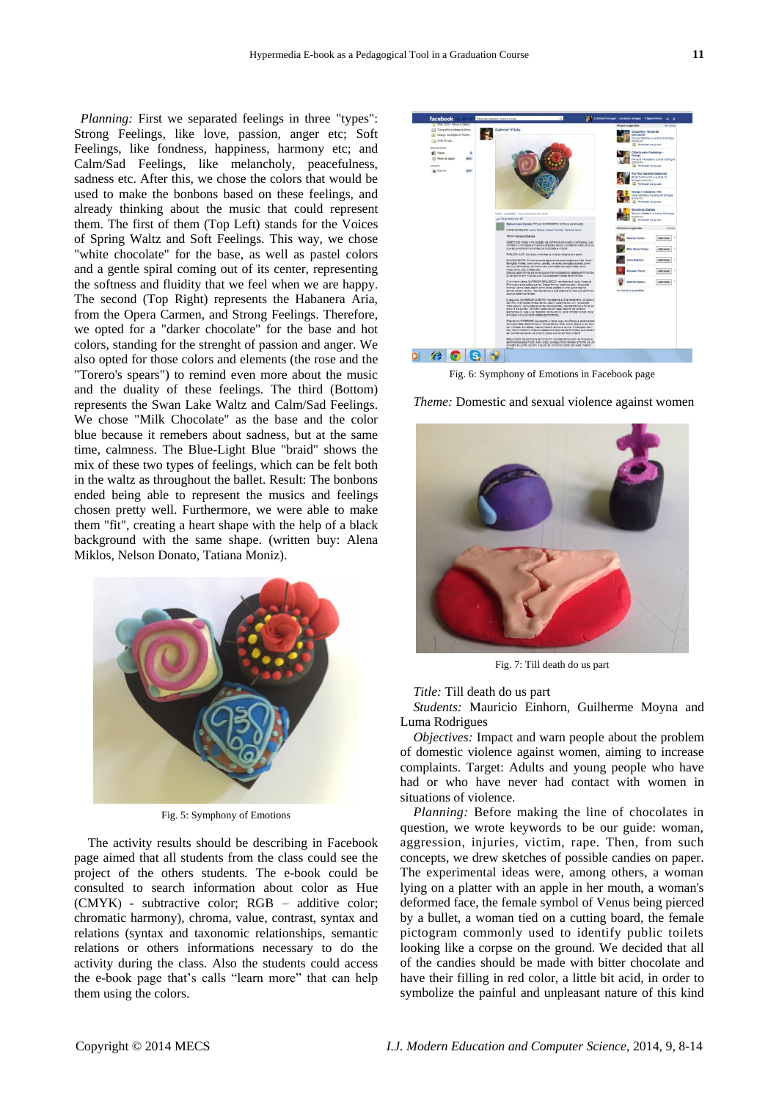*Planning:* First we separated feelings in three "types": Strong Feelings, like love, passion, anger etc; Soft Feelings, like fondness, happiness, harmony etc; and Calm/Sad Feelings, like melancholy, peacefulness, sadness etc. After this, we chose the colors that would be used to make the bonbons based on these feelings, and already thinking about the music that could represent them. The first of them (Top Left) stands for the Voices of Spring Waltz and Soft Feelings. This way, we chose "white chocolate" for the base, as well as pastel colors and a gentle spiral coming out of its center, representing the softness and fluidity that we feel when we are happy. The second (Top Right) represents the Habanera Aria, from the Opera Carmen, and Strong Feelings. Therefore, we opted for a "darker chocolate" for the base and hot colors, standing for the strenght of passion and anger. We also opted for those colors and elements (the rose and the "Torero's spears") to remind even more about the music and the duality of these feelings. The third (Bottom) represents the Swan Lake Waltz and Calm/Sad Feelings. We chose "Milk Chocolate" as the base and the color blue because it remebers about sadness, but at the same time, calmness. The Blue-Light Blue "braid" shows the mix of these two types of feelings, which can be felt both in the waltz as throughout the ballet. Result: The bonbons ended being able to represent the musics and feelings chosen pretty well. Furthermore, we were able to make them "fit", creating a heart shape with the help of a black background with the same shape. (written buy: Alena Miklos, Nelson Donato, Tatiana Moniz).



Fig. 5: Symphony of Emotions

The activity results should be describing in Facebook page aimed that all students from the class could see the project of the others students. The e-book could be consulted to search information about color as Hue (CMYK) - subtractive color; RGB – additive color; chromatic harmony), chroma, value, contrast, syntax and relations (syntax and taxonomic relationships, semantic relations or others informations necessary to do the activity during the class. Also the students could access the e-book page that's calls "learn more" that can help them using the colors.



Fig. 6: Symphony of Emotions in Facebook page

*Theme:* Domestic and sexual violence against women



Fig. 7: Till death do us part

#### *Title:* Till death do us part

*Students:* Mauricio Einhorn, Guilherme Moyna and Luma Rodrigues

*Objectives:* Impact and warn people about the problem of domestic violence against women, aiming to increase complaints. Target: Adults and young people who have had or who have never had contact with women in situations of violence.

*Planning:* Before making the line of chocolates in question, we wrote keywords to be our guide: woman, aggression, injuries, victim, rape. Then, from such concepts, we drew sketches of possible candies on paper. The experimental ideas were, among others, a woman lying on a platter with an apple in her mouth, a woman's deformed face, the female symbol of Venus being pierced by a bullet, a woman tied on a cutting board, the female pictogram commonly used to identify public toilets looking like a corpse on the ground. We decided that all of the candies should be made with bitter chocolate and have their filling in red color, a little bit acid, in order to symbolize the painful and unpleasant nature of this kind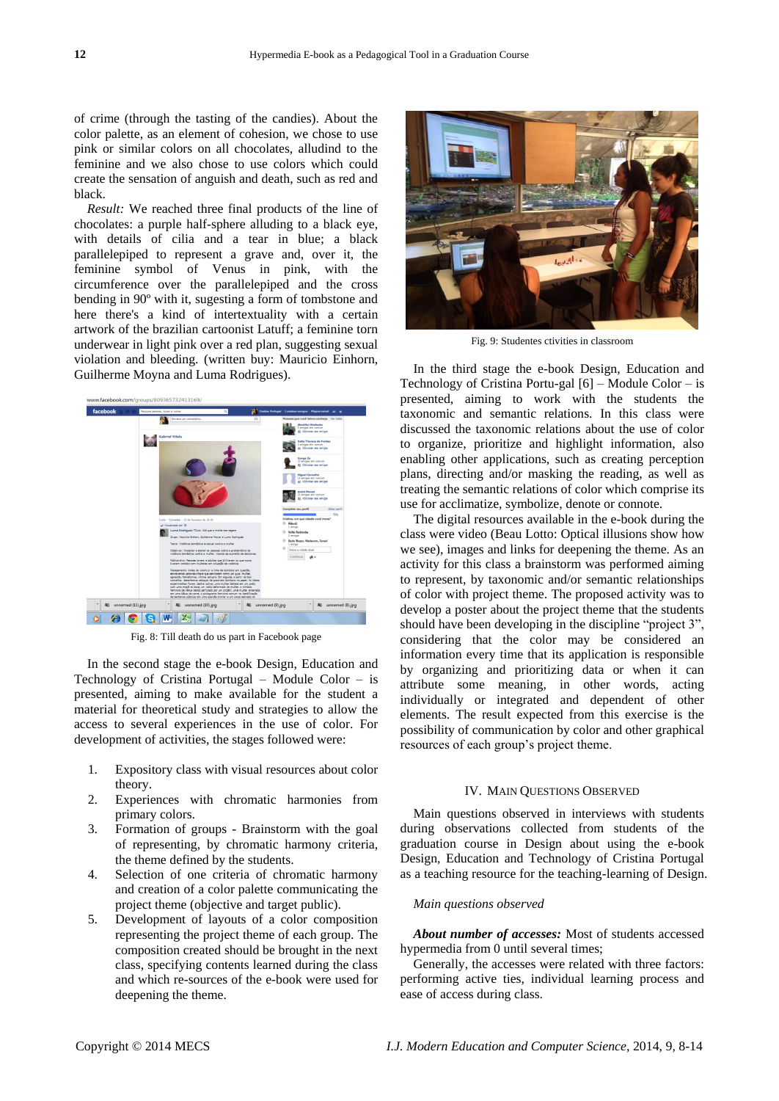of crime (through the tasting of the candies). About the color palette, as an element of cohesion, we chose to use pink or similar colors on all chocolates, alludind to the feminine and we also chose to use colors which could create the sensation of anguish and death, such as red and black.

*Result:* We reached three final products of the line of chocolates: a purple half-sphere alluding to a black eye, with details of cilia and a tear in blue; a black parallelepiped to represent a grave and, over it, the feminine symbol of Venus in pink, with the circumference over the parallelepiped and the cross bending in 90º with it, sugesting a form of tombstone and here there's a kind of intertextuality with a certain artwork of the brazilian cartoonist Latuff; a feminine torn underwear in light pink over a red plan, suggesting sexual violation and bleeding. (written buy: Mauricio Einhorn, Guilherme Moyna and Luma Rodrigues).



Fig. 8: Till death do us part in Facebook page

In the second stage the e-book Design, Education and Technology of Cristina Portugal – Module Color – is presented, aiming to make available for the student a material for theoretical study and strategies to allow the access to several experiences in the use of color. For development of activities, the stages followed were:

- 1. Expository class with visual resources about color theory.
- 2. Experiences with chromatic harmonies from primary colors.
- 3. Formation of groups Brainstorm with the goal of representing, by chromatic harmony criteria, the theme defined by the students.
- 4. Selection of one criteria of chromatic harmony and creation of a color palette communicating the project theme (objective and target public).
- 5. Development of layouts of a color composition representing the project theme of each group. The composition created should be brought in the next class, specifying contents learned during the class and which re-sources of the e-book were used for deepening the theme.



Fig. 9: Studentes ctivities in classroom

In the third stage the e-book Design, Education and Technology of Cristina Portu-gal [6] – Module Color – is presented, aiming to work with the students the taxonomic and semantic relations. In this class were discussed the taxonomic relations about the use of color to organize, prioritize and highlight information, also enabling other applications, such as creating perception plans, directing and/or masking the reading, as well as treating the semantic relations of color which comprise its use for acclimatize, symbolize, denote or connote.

The digital resources available in the e-book during the class were video (Beau Lotto: Optical illusions show how we see), images and links for deepening the theme. As an activity for this class a brainstorm was performed aiming to represent, by taxonomic and/or semantic relationships of color with project theme. The proposed activity was to develop a poster about the project theme that the students should have been developing in the discipline "project 3", considering that the color may be considered an information every time that its application is responsible by organizing and prioritizing data or when it can attribute some meaning, in other words, acting individually or integrated and dependent of other elements. The result expected from this exercise is the possibility of communication by color and other graphical resources of each group's project theme.

#### IV. MAIN QUESTIONS OBSERVED

Main questions observed in interviews with students during observations collected from students of the graduation course in Design about using the e-book Design, Education and Technology of Cristina Portugal as a teaching resource for the teaching-learning of Design.

#### *Main questions observed*

*About number of accesses:* Most of students accessed hypermedia from 0 until several times;

Generally, the accesses were related with three factors: performing active ties, individual learning process and ease of access during class.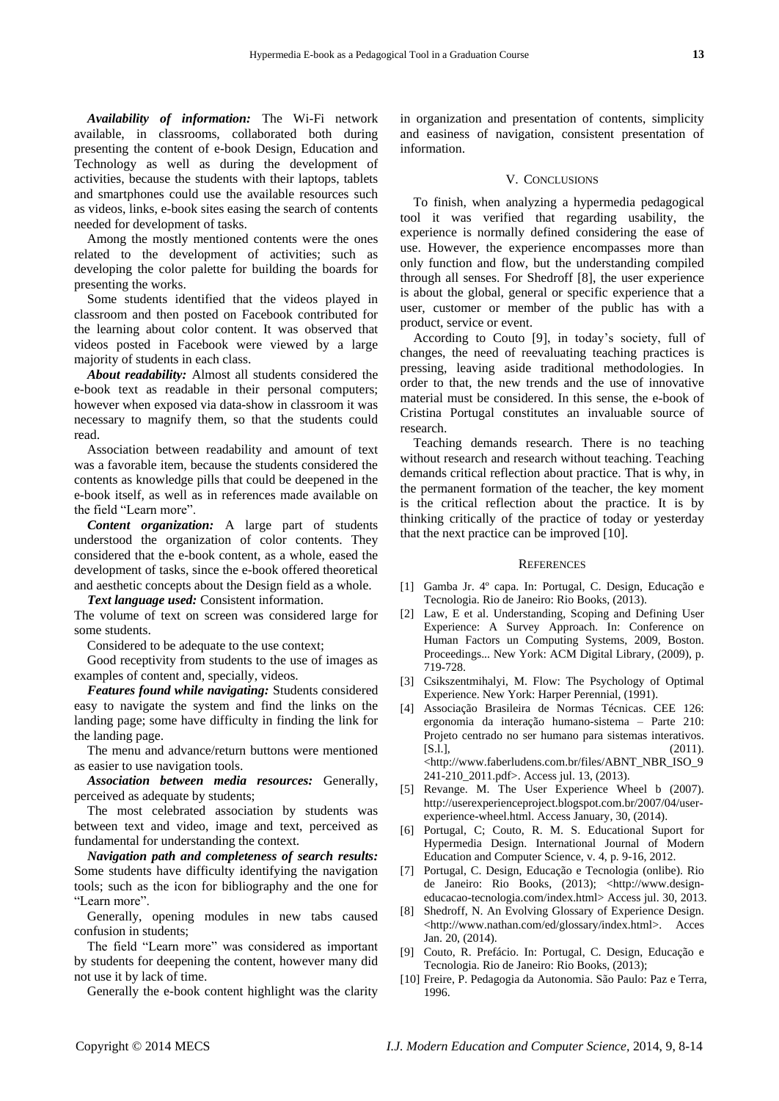*Availability of information:* The Wi-Fi network available, in classrooms, collaborated both during presenting the content of e-book Design, Education and Technology as well as during the development of activities, because the students with their laptops, tablets and smartphones could use the available resources such as videos, links, e-book sites easing the search of contents needed for development of tasks.

Among the mostly mentioned contents were the ones related to the development of activities; such as developing the color palette for building the boards for presenting the works.

Some students identified that the videos played in classroom and then posted on Facebook contributed for the learning about color content. It was observed that videos posted in Facebook were viewed by a large majority of students in each class.

*About readability:* Almost all students considered the e-book text as readable in their personal computers; however when exposed via data-show in classroom it was necessary to magnify them, so that the students could read.

Association between readability and amount of text was a favorable item, because the students considered the contents as knowledge pills that could be deepened in the e-book itself, as well as in references made available on the field "Learn more".

*Content organization:* A large part of students understood the organization of color contents. They considered that the e-book content, as a whole, eased the development of tasks, since the e-book offered theoretical and aesthetic concepts about the Design field as a whole.

*Text language used:* Consistent information.

The volume of text on screen was considered large for some students.

Considered to be adequate to the use context;

Good receptivity from students to the use of images as examples of content and, specially, videos.

*Features found while navigating:* Students considered easy to navigate the system and find the links on the landing page; some have difficulty in finding the link for the landing page.

The menu and advance/return buttons were mentioned as easier to use navigation tools.

*Association between media resources:* Generally, perceived as adequate by students;

The most celebrated association by students was between text and video, image and text, perceived as fundamental for understanding the context.

*Navigation path and completeness of search results:* Some students have difficulty identifying the navigation tools; such as the icon for bibliography and the one for "Learn more".

Generally, opening modules in new tabs caused confusion in students;

The field "Learn more" was considered as important by students for deepening the content, however many did not use it by lack of time.

Generally the e-book content highlight was the clarity

in organization and presentation of contents, simplicity and easiness of navigation, consistent presentation of information.

#### V. CONCLUSIONS

To finish, when analyzing a hypermedia pedagogical tool it was verified that regarding usability, the experience is normally defined considering the ease of use. However, the experience encompasses more than only function and flow, but the understanding compiled through all senses. For Shedroff [8], the user experience is about the global, general or specific experience that a user, customer or member of the public has with a product, service or event.

According to Couto [9], in today's society, full of changes, the need of reevaluating teaching practices is pressing, leaving aside traditional methodologies. In order to that, the new trends and the use of innovative material must be considered. In this sense, the e-book of Cristina Portugal constitutes an invaluable source of research.

Teaching demands research. There is no teaching without research and research without teaching. Teaching demands critical reflection about practice. That is why, in the permanent formation of the teacher, the key moment is the critical reflection about the practice. It is by thinking critically of the practice of today or yesterday that the next practice can be improved [10].

#### **REFERENCES**

- [1] Gamba Jr. 4º capa. In: Portugal, C. Design, Educação e Tecnologia. Rio de Janeiro: Rio Books, (2013).
- [2] Law, E et al. Understanding, Scoping and Defining User Experience: A Survey Approach. In: Conference on Human Factors un Computing Systems, 2009, Boston. Proceedings... New York: ACM Digital Library, (2009), p. 719-728.
- [3] Csikszentmihalyi, M. Flow: The Psychology of Optimal Experience. New York: Harper Perennial, (1991).
- [4] Associação Brasileira de Normas Técnicas. CEE 126: ergonomia da interação humano-sistema – Parte 210: Projeto centrado no ser humano para sistemas interativos.  $[S.1.1]$ , (2011). <http://www.faberludens.com.br/files/ABNT\_NBR\_ISO\_9 241-210\_2011.pdf>. Access jul. 13, (2013).
- [5] Revange. M. The User Experience Wheel b (2007). http://userexperienceproject.blogspot.com.br/2007/04/userexperience-wheel.html. Access January, 30, (2014).
- [6] Portugal, C; Couto, R. M. S. Educational Suport for Hypermedia Design. International Journal of Modern Education and Computer Science, v. 4, p. 9-16, 2012.
- [7] Portugal, C. Design, Educação e Tecnologia (onlibe). Rio de Janeiro: Rio Books, (2013); <http://www.designeducacao-tecnologia.com/index.html> Access jul. 30, 2013.
- [8] Shedroff, N. An Evolving Glossary of Experience Design. [<http://www.nathan.com/ed/glossary/index.html>](http://www.nathan.com/ed/glossary/index.html). Acces Jan. 20, (2014).
- [9] Couto, R. Prefácio. In: Portugal, C. Design, Educação e Tecnologia. Rio de Janeiro: Rio Books, (2013);
- [10] Freire, P. Pedagogia da Autonomia. São Paulo: Paz e Terra, 1996.